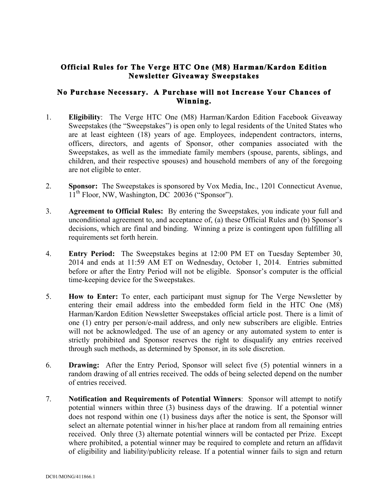## **Official Rules for The Verge HTC One (M8) Harman/Kardon Edition Newsletter Giveaway Sweepstakes**

## **No Purchase Necessary. A Purchase will not Increase Your Chances of Winning.**

- 1. **Eligibility**: The Verge HTC One (M8) Harman/Kardon Edition Facebook Giveaway Sweepstakes (the "Sweepstakes") is open only to legal residents of the United States who are at least eighteen (18) years of age. Employees, independent contractors, interns, officers, directors, and agents of Sponsor, other companies associated with the Sweepstakes, as well as the immediate family members (spouse, parents, siblings, and children, and their respective spouses) and household members of any of the foregoing are not eligible to enter.
- 2. **Sponsor:** The Sweepstakes is sponsored by Vox Media, Inc., 1201 Connecticut Avenue,  $11<sup>th</sup>$  Floor, NW, Washington, DC 20036 ("Sponsor").
- 3. **Agreement to Official Rules:** By entering the Sweepstakes, you indicate your full and unconditional agreement to, and acceptance of, (a) these Official Rules and (b) Sponsor's decisions, which are final and binding. Winning a prize is contingent upon fulfilling all requirements set forth herein.
- 4. **Entry Period:** The Sweepstakes begins at 12:00 PM ET on Tuesday September 30, 2014 and ends at 11:59 AM ET on Wednesday, October 1, 2014. Entries submitted before or after the Entry Period will not be eligible. Sponsor's computer is the official time-keeping device for the Sweepstakes.
- 5. **How to Enter:** To enter, each participant must signup for The Verge Newsletter by entering their email address into the embedded form field in the HTC One (M8) Harman/Kardon Edition Newsletter Sweepstakes official article post. There is a limit of one (1) entry per person/e-mail address, and only new subscribers are eligible. Entries will not be acknowledged. The use of an agency or any automated system to enter is strictly prohibited and Sponsor reserves the right to disqualify any entries received through such methods, as determined by Sponsor, in its sole discretion.
- 6. **Drawing:** After the Entry Period, Sponsor will select five (5) potential winners in a random drawing of all entries received. The odds of being selected depend on the number of entries received.
- 7. **Notification and Requirements of Potential Winners**: Sponsor will attempt to notify potential winners within three (3) business days of the drawing. If a potential winner does not respond within one (1) business days after the notice is sent, the Sponsor will select an alternate potential winner in his/her place at random from all remaining entries received. Only three (3) alternate potential winners will be contacted per Prize. Except where prohibited, a potential winner may be required to complete and return an affidavit of eligibility and liability/publicity release. If a potential winner fails to sign and return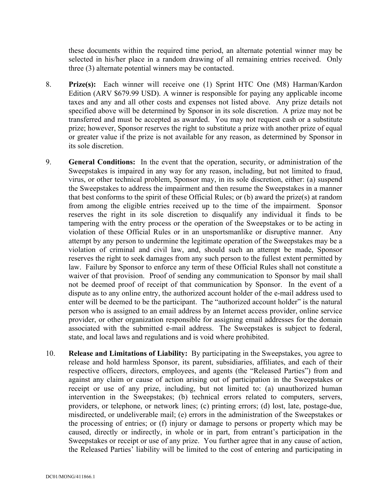these documents within the required time period, an alternate potential winner may be selected in his/her place in a random drawing of all remaining entries received. Only three (3) alternate potential winners may be contacted.

- 8. **Prize(s):** Each winner will receive one (1) Sprint HTC One (M8) Harman/Kardon Edition (ARV \$679.99 USD). A winner is responsible for paying any applicable income taxes and any and all other costs and expenses not listed above. Any prize details not specified above will be determined by Sponsor in its sole discretion. A prize may not be transferred and must be accepted as awarded. You may not request cash or a substitute prize; however, Sponsor reserves the right to substitute a prize with another prize of equal or greater value if the prize is not available for any reason, as determined by Sponsor in its sole discretion.
- 9. **General Conditions:** In the event that the operation, security, or administration of the Sweepstakes is impaired in any way for any reason, including, but not limited to fraud, virus, or other technical problem, Sponsor may, in its sole discretion, either: (a) suspend the Sweepstakes to address the impairment and then resume the Sweepstakes in a manner that best conforms to the spirit of these Official Rules; or (b) award the prize(s) at random from among the eligible entries received up to the time of the impairment. Sponsor reserves the right in its sole discretion to disqualify any individual it finds to be tampering with the entry process or the operation of the Sweepstakes or to be acting in violation of these Official Rules or in an unsportsmanlike or disruptive manner. Any attempt by any person to undermine the legitimate operation of the Sweepstakes may be a violation of criminal and civil law, and, should such an attempt be made, Sponsor reserves the right to seek damages from any such person to the fullest extent permitted by law. Failure by Sponsor to enforce any term of these Official Rules shall not constitute a waiver of that provision. Proof of sending any communication to Sponsor by mail shall not be deemed proof of receipt of that communication by Sponsor. In the event of a dispute as to any online entry, the authorized account holder of the e-mail address used to enter will be deemed to be the participant. The "authorized account holder" is the natural person who is assigned to an email address by an Internet access provider, online service provider, or other organization responsible for assigning email addresses for the domain associated with the submitted e-mail address. The Sweepstakes is subject to federal, state, and local laws and regulations and is void where prohibited.
- 10. **Release and Limitations of Liability:** By participating in the Sweepstakes, you agree to release and hold harmless Sponsor, its parent, subsidiaries, affiliates, and each of their respective officers, directors, employees, and agents (the "Released Parties") from and against any claim or cause of action arising out of participation in the Sweepstakes or receipt or use of any prize, including, but not limited to: (a) unauthorized human intervention in the Sweepstakes; (b) technical errors related to computers, servers, providers, or telephone, or network lines; (c) printing errors; (d) lost, late, postage-due, misdirected, or undeliverable mail; (e) errors in the administration of the Sweepstakes or the processing of entries; or (f) injury or damage to persons or property which may be caused, directly or indirectly, in whole or in part, from entrant's participation in the Sweepstakes or receipt or use of any prize. You further agree that in any cause of action, the Released Parties' liability will be limited to the cost of entering and participating in